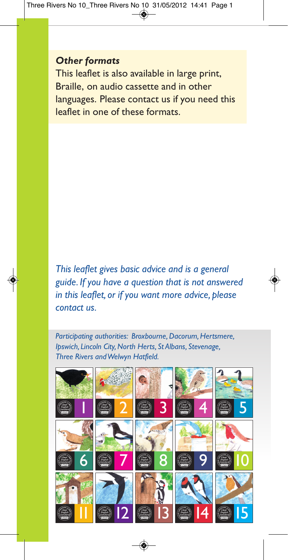### *Other formats*

This leaflet is also available in large print, Braille, on audio cassette and in other languages. Please contact us if you need this leaflet in one of these formats.

*This leaflet gives basic advice and is a general guide. If you have a question that is not answered in this leaflet, or if you want more advice, please contact us.*

*Participating authorities: Broxbourne,Dacorum,Hertsmere, Ipswich, Lincoln City,North Herts, St Albans, Stevenage, Three Rivers andWelwyn Hatfield.*

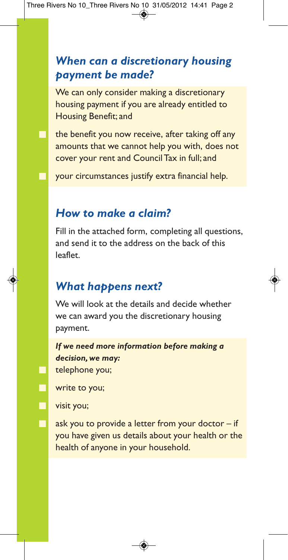## *When can a discretionary housing payment be made?*

We can only consider making a discretionary housing payment if you are already entitled to Housing Benefit; and

the benefit you now receive, after taking off any amounts that we cannot help you with, does not cover your rent and Council Tax in full; and

your circumstances justify extra financial help.

## *How to make a claim?*

Fill in the attached form, completing all questions, and send it to the address on the back of this leaflet.

### *What happens next?*

We will look at the details and decide whether we can award you the discretionary housing payment.

*If we need more information before making a decision, we may:* telephone you;

write to you;

visit you;

Е Ē

П

ask you to provide a letter from your doctor  $-$  if you have given us details about your health or the health of anyone in your household.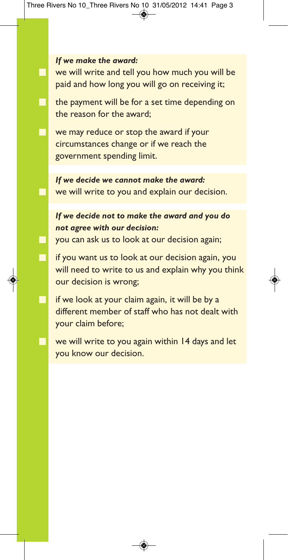#### *If we make the award:*

г

we will write and tell you how much you will be paid and how long you will go on receiving it;

the payment will be for a set time depending on the reason for the award;

we may reduce or stop the award if your circumstances change or if we reach the government spending limit.

*If we decide we cannot make the award:* we will write to you and explain our decision.

### *If we decide not to make the award and you do not agree with our decision:*

you can ask us to look at our decision again;

if you want us to look at our decision again, you will need to write to us and explain why you think our decision is wrong;

if we look at your claim again, it will be by a different member of staff who has not dealt with your claim before;

we will write to you again within 14 days and let you know our decision.